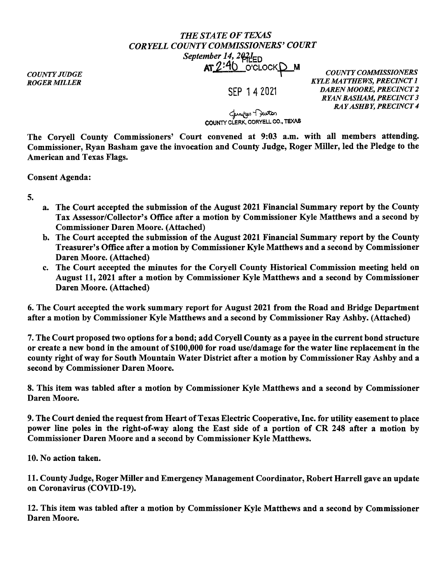## *THE STATE OF TEXAS CORYELLCOUNTYCOMMISSIONERS'COURT September 14, 2021*<sub>ED</sub> AT 2:40 O'CLOCKD M *COUNTY COMMISSIONERS*

*COUNTY JUDGE ROGER MILLER* 

SEP 1 4 2021

*KYLE MATTHEWS, PRECINCT I DAREN MOORE, PRECINCT 2 RYAN BASHAM, PRECINCT 3 RAY ASHBY, PRECINCT 4* 

ل<br>COUNTY CLERK, CORYELL CO., TEXAS

The Coryell County Commissioners' Court convened at 9:03 a.m. with all members attending. Commissioner, Ryan Basham gave the invocation and County Judge, Roger Miller, led the Pledge to the American and Texas Flags.

Consent Agenda:

5.

- a. The Court accepted the submission of the August 2021 Financial Summary report by the County Tax Assessor/Collector's Office after a motion by Commissioner Kyle Matthews and a second by Commissioner Daren Moore. (Attached)
- b. The Court accepted the submission of the August 2021 Financial Summary report by the County Treasurer's Office after a motion by Commissioner Kyle Matthews and a second by Commissioner Daren Moore. (Attached)
- c. The Court accepted the minutes for the Coryell County Historical Commission meeting held on August 11, 2021 after a motion by Commissioner Kyle Matthews and a second by Commissioner Daren Moore. (Attached)

6. The Court accepted the work summary report for August 2021 from the Road and Bridge Department after a motion by Commissioner Kyle Matthews and a second by Commissioner Ray Ashby. (Attached)

7. The Court proposed two options for a bond; add Coryell County as a payee in the current bond structure or create a new bond in the amount of \$100,000 for road use/damage for the water line replacement in the county right of way for South Mountain Water District after a motion by Commissioner Ray Ashby and a second by Commissioner Daren Moore.

8. This item was tabled after a motion by Commissioner Kyle Matthews and a second by Commissioner Daren Moore.

9. The Court denied the request from Heart of Texas Electric Cooperative, Inc. for utility easement to place power line poles in the right-of-way along the East side of a portion of CR 248 after a motion by Commissioner Daren Moore and a second by Commissioner Kyle Matthews.

10. No action taken.

11. County Judge, Roger Miller and Emergency Management Coordinator, Robert Harrell gave an update on Coronavirus (COVID-19).

12. This item was tabled after a motion by Commissioner Kyle Matthews and a second by Commissioner Daren Moore.